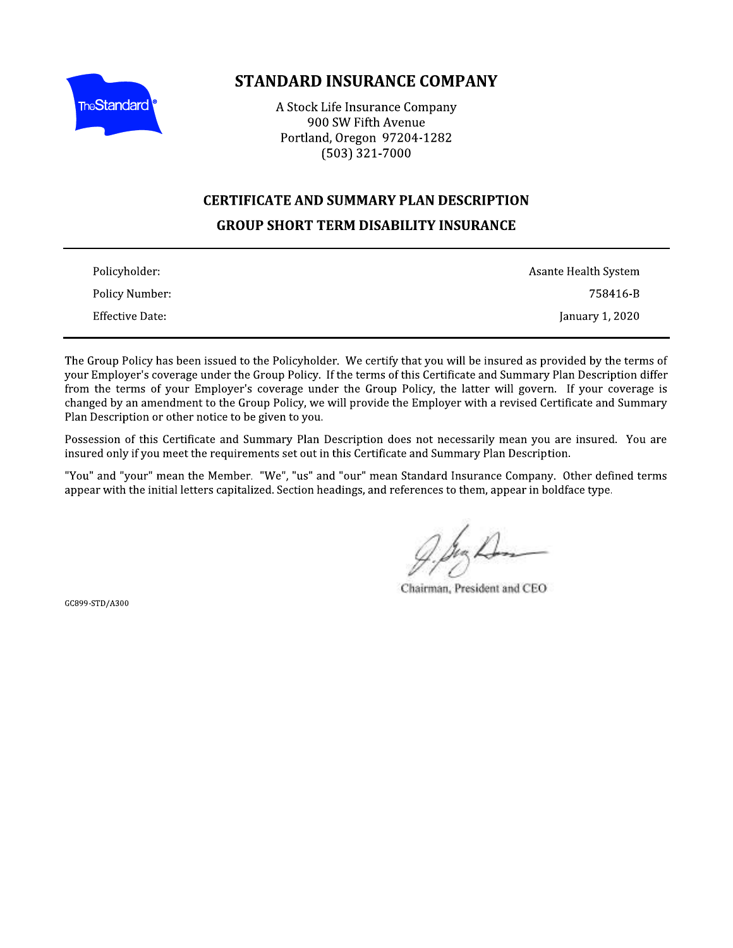

# **STANDARD INSURANCE COMPANY**

A Stock Life Insurance Company 900 SW Fifth Avenue Portland, Oregon 97204-1282  $(503)$  321-7000

#### **CERTIFICATE AND SUMMARY PLAN DESCRIPTION**

## **GROUP SHORT TERM DISABILITY INSURANCE**

| Policyholder:   | Asante Health System |
|-----------------|----------------------|
| Policy Number:  | 758416-B             |
| Effective Date: | January 1, 2020      |

The Group Policy has been issued to the Policyholder. We certify that you will be insured as provided by the terms of your Employer's coverage under the Group Policy. If the terms of this Certificate and Summary Plan Description differ from the terms of your Employer's coverage under the Group Policy, the latter will govern. If your coverage is changed by an amendment to the Group Policy, we will provide the Employer with a revised Certificate and Summary Plan Description or other notice to be given to you.

Possession of this Certificate and Summary Plan Description does not necessarily mean you are insured. You are insured only if you meet the requirements set out in this Certificate and Summary Plan Description.

"You" and "your" mean the Member. "We", "us" and "our" mean Standard Insurance Company. Other defined terms appear with the initial letters capitalized. Section headings, and references to them, appear in boldface type.

Chairman, President and CEO

GC899-STD/A300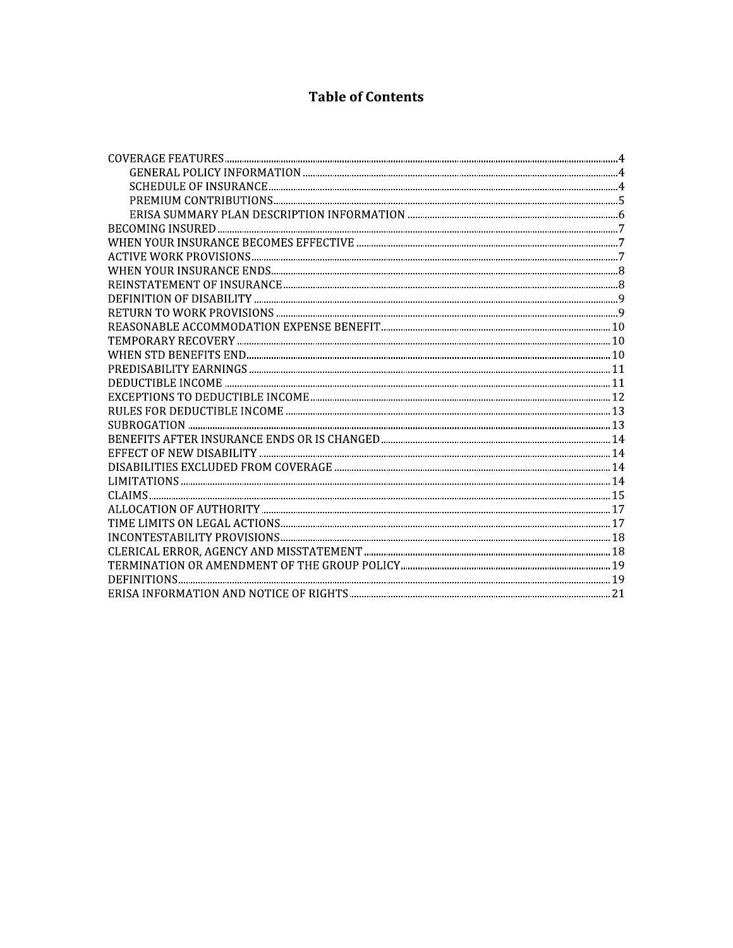# **Table of Contents**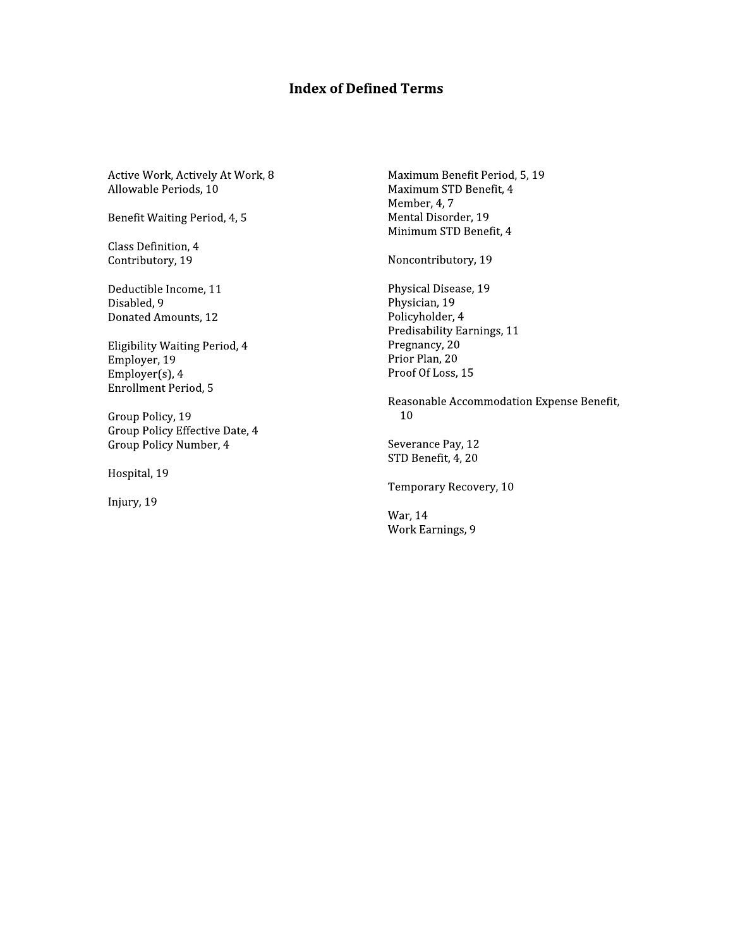# **Index of Defined Terms**

Active Work, Actively At Work, 8 Allowable Periods, 10

Benefit Waiting Period, 4, 5

Class Definition, 4 Contributory, 19

Deductible Income, 11 Disabled, 9 Donated Amounts, 12

Eligibility Waiting Period, 4 Employer, 19 Employer(s), 4 **Enrollment Period, 5** 

Group Policy, 19 Group Policy Effective Date, 4 Group Policy Number, 4

Hospital, 19

Injury, 19

Maximum Benefit Period, 5, 19 Maximum STD Benefit, 4 Member, 4, 7 Mental Disorder, 19 Minimum STD Benefit, 4

Noncontributory, 19

Physical Disease, 19 Physician, 19 Policyholder, 4 Predisability Earnings, 11 Pregnancy, 20 Prior Plan, 20 Proof Of Loss, 15

Reasonable Accommodation Expense Benefit, 10

Severance Pay, 12 STD Benefit, 4, 20

Temporary Recovery, 10

War, 14 Work Earnings, 9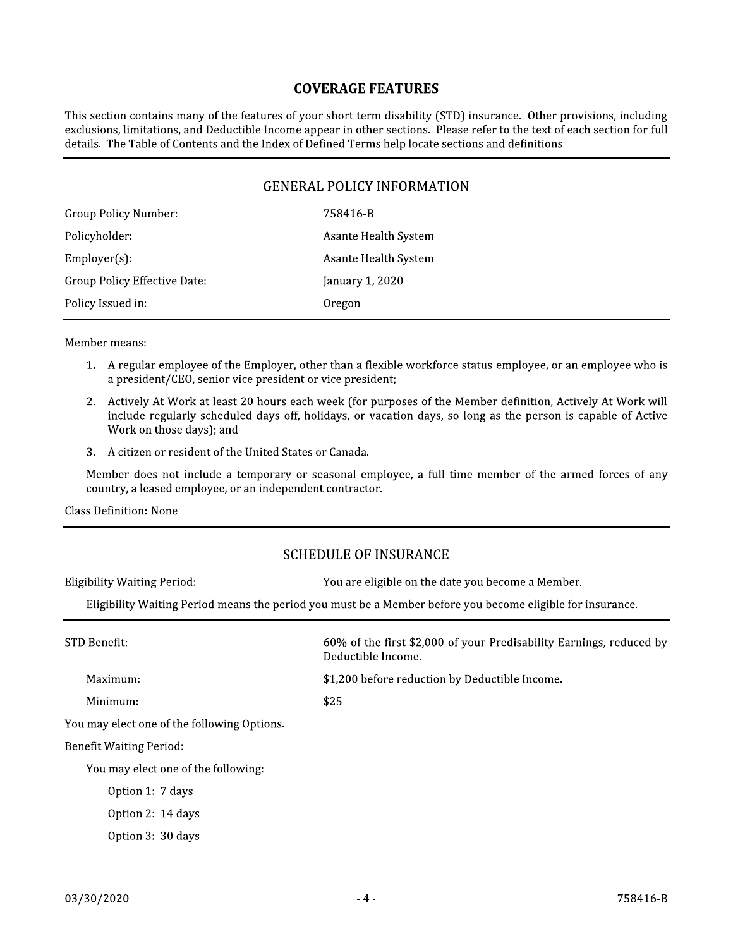#### **COVERAGE FEATURES**

This section contains many of the features of your short term disability (STD) insurance. Other provisions, including exclusions, limitations, and Deductible Income appear in other sections. Please refer to the text of each section for full details. The Table of Contents and the Index of Defined Terms help locate sections and definitions.

#### **GENERAL POLICY INFORMATION**

| 758416-B             |
|----------------------|
| Asante Health System |
| Asante Health System |
| January 1, 2020      |
| Oregon               |
|                      |

Member means:

- 1. A regular employee of the Employer, other than a flexible workforce status employee, or an employee who is a president/CEO, senior vice president or vice president;
- 2. Actively At Work at least 20 hours each week (for purposes of the Member definition, Actively At Work will include regularly scheduled days off, holidays, or vacation days, so long as the person is capable of Active Work on those days); and
- 3. A citizen or resident of the United States or Canada.

Member does not include a temporary or seasonal employee, a full-time member of the armed forces of any country, a leased employee, or an independent contractor.

**Class Definition: None** 

#### **SCHEDULE OF INSURANCE**

| <b>Eligibility Waiting Period:</b>                                                                         | You are eligible on the date you become a Member.                                         |  |  |
|------------------------------------------------------------------------------------------------------------|-------------------------------------------------------------------------------------------|--|--|
| Eligibility Waiting Period means the period you must be a Member before you become eligible for insurance. |                                                                                           |  |  |
| STD Benefit:                                                                                               | 60% of the first \$2,000 of your Predisability Earnings, reduced by<br>Deductible Income. |  |  |
| Maximum:                                                                                                   | \$1,200 before reduction by Deductible Income.                                            |  |  |
| Minimum:                                                                                                   | \$25                                                                                      |  |  |
| You may elect one of the following Options.                                                                |                                                                                           |  |  |
| <b>Benefit Waiting Period:</b>                                                                             |                                                                                           |  |  |
| You may elect one of the following:                                                                        |                                                                                           |  |  |
| Option 1: 7 days                                                                                           |                                                                                           |  |  |
| Option 2: 14 days                                                                                          |                                                                                           |  |  |
| Option 3: 30 days                                                                                          |                                                                                           |  |  |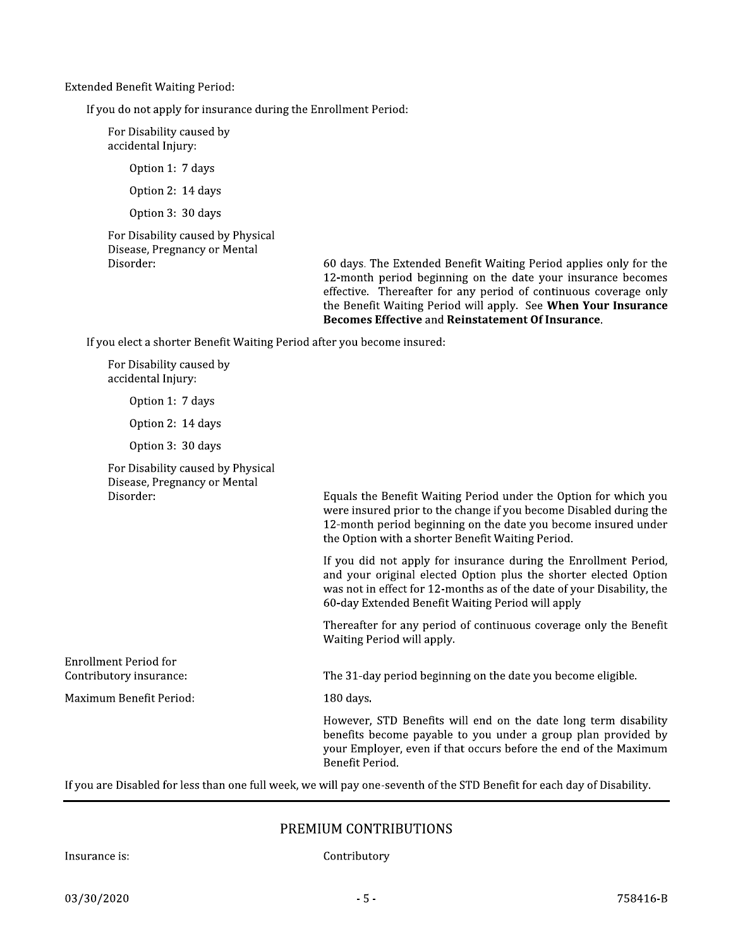**Extended Benefit Waiting Period:** 

If you do not apply for insurance during the Enrollment Period:

For Disability caused by accidental Injury:

Option 1: 7 days

Option 2: 14 days

Option 3: 30 days

For Disability caused by Physical Disease, Pregnancy or Mental Disorder:

60 days. The Extended Benefit Waiting Period applies only for the 12-month period beginning on the date your insurance becomes effective. Thereafter for any period of continuous coverage only the Benefit Waiting Period will apply. See When Your Insurance Becomes Effective and Reinstatement Of Insurance.

If you elect a shorter Benefit Waiting Period after you become insured:

For Disability caused by accidental Injury: Option 1: 7 days Option 2: 14 days Option 3: 30 days For Disability caused by Physical Disease, Pregnancy or Mental Disorder: Equals the Benefit Waiting Period under the Option for which you were insured prior to the change if you become Disabled during the 12-month period beginning on the date you become insured under the Option with a shorter Benefit Waiting Period. If you did not apply for insurance during the Enrollment Period, and your original elected Option plus the shorter elected Option was not in effect for 12-months as of the date of your Disability, the 60-day Extended Benefit Waiting Period will apply Thereafter for any period of continuous coverage only the Benefit Waiting Period will apply. Enrollment Period for Contributory insurance: The 31-day period beginning on the date you become eligible. Maximum Benefit Period: 180 days. However, STD Benefits will end on the date long term disability benefits become payable to you under a group plan provided by your Employer, even if that occurs before the end of the Maximum Benefit Period.

If you are Disabled for less than one full week, we will pay one-seventh of the STD Benefit for each day of Disability.

#### PREMIUM CONTRIBUTIONS

Insurance is:

Contributory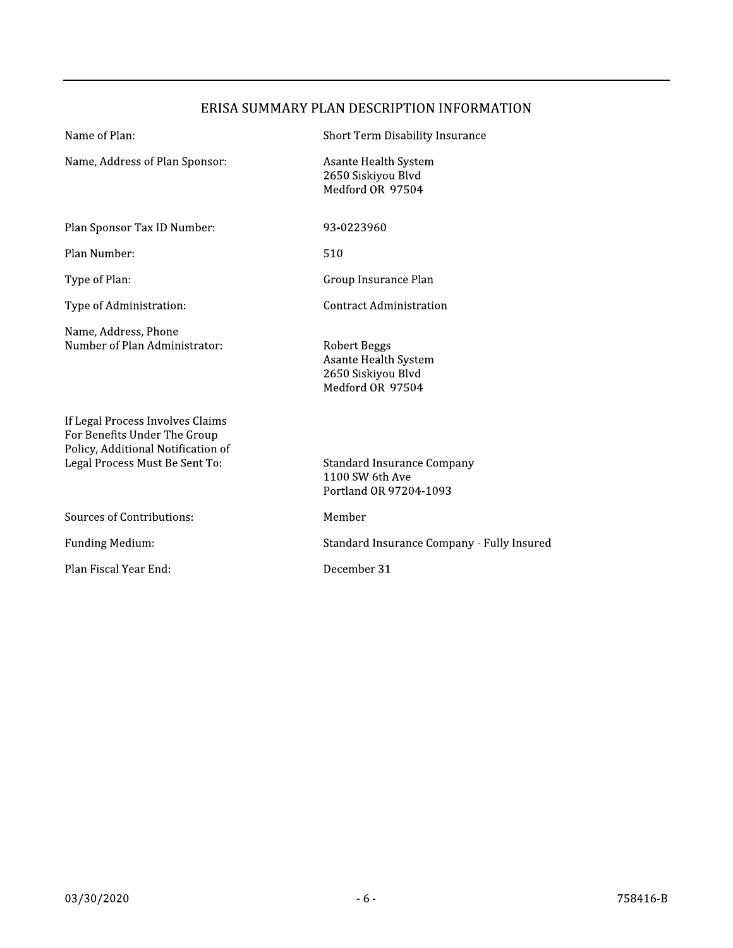# ERISA SUMMARY PLAN DESCRIPTION INFORMATION

Short Term Disability Insurance

| Name, Address of Plan Sponsor:                                                                                                           | Asante Health System<br>2650 Siskiyou Blvd<br>Medford OR 97504                 |
|------------------------------------------------------------------------------------------------------------------------------------------|--------------------------------------------------------------------------------|
| Plan Sponsor Tax ID Number:                                                                                                              | 93-0223960                                                                     |
| Plan Number:                                                                                                                             | 510                                                                            |
| Type of Plan:                                                                                                                            | Group Insurance Plan                                                           |
| Type of Administration:                                                                                                                  | Contract Administration                                                        |
| Name, Address, Phone<br>Number of Plan Administrator:                                                                                    | Robert Beggs<br>Asante Health System<br>2650 Siskiyou Blvd<br>Medford OR 97504 |
| If Legal Process Involves Claims<br>For Benefits Under The Group<br>Policy, Additional Notification of<br>Legal Process Must Be Sent To: | Standard Insurance Company<br>1100 SW 6th Ave<br>Portland OR 97204-1093        |
| Sources of Contributions:                                                                                                                | Member                                                                         |
| <b>Funding Medium:</b>                                                                                                                   | Standard Insurance Company - Fully Insured                                     |
| Plan Fiscal Year End:                                                                                                                    | December 31                                                                    |

Name of Plan: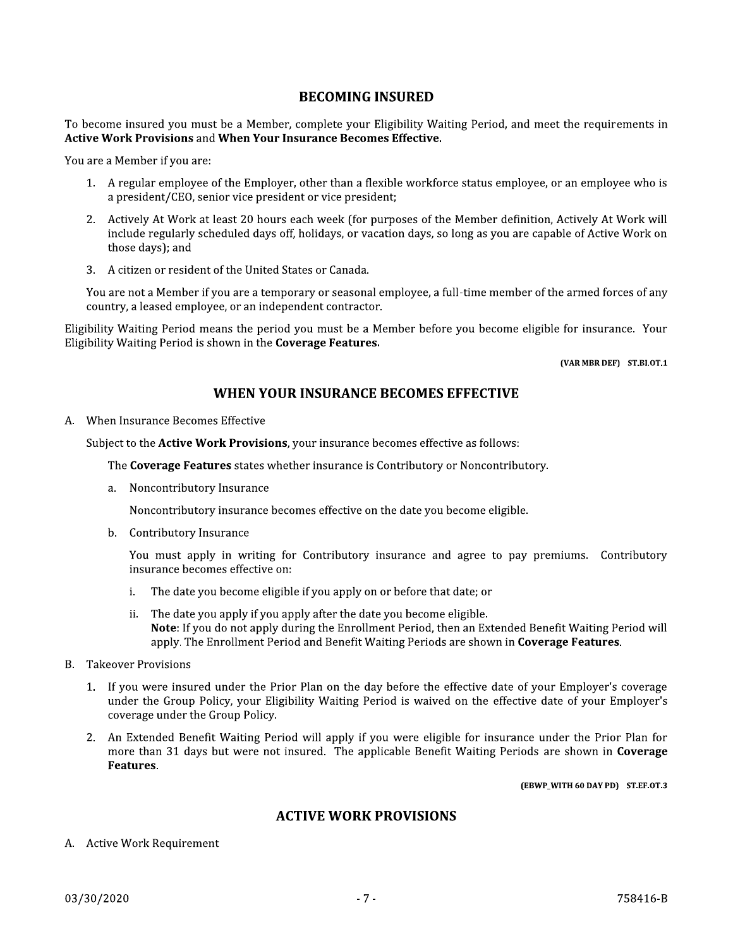#### **BECOMING INSURED**

To become insured you must be a Member, complete your Eligibility Waiting Period, and meet the requirements in **Active Work Provisions and When Your Insurance Becomes Effective.** 

You are a Member if you are:

- 1. A regular employee of the Employer, other than a flexible workforce status employee, or an employee who is a president/CEO, senior vice president or vice president;
- 2. Actively At Work at least 20 hours each week (for purposes of the Member definition, Actively At Work will include regularly scheduled days off, holidays, or vacation days, so long as you are capable of Active Work on those days); and
- 3. A citizen or resident of the United States or Canada.

You are not a Member if you are a temporary or seasonal employee, a full-time member of the armed forces of any country, a leased employee, or an independent contractor.

Eligibility Waiting Period means the period you must be a Member before you become eligible for insurance. Your Eligibility Waiting Period is shown in the Coverage Features.

(VAR MBR DEF) ST.BI.OT.1

#### WHEN YOUR INSURANCE BECOMES EFFECTIVE

#### A. When Insurance Becomes Effective

Subject to the **Active Work Provisions**, your insurance becomes effective as follows:

The Coverage Features states whether insurance is Contributory or Noncontributory.

a. Noncontributory Insurance

Noncontributory insurance becomes effective on the date you become eligible.

b. Contributory Insurance

You must apply in writing for Contributory insurance and agree to pay premiums. Contributory insurance becomes effective on:

- The date you become eligible if you apply on or before that date; or i.
- ii. The date you apply if you apply after the date you become eligible. Note: If you do not apply during the Enrollment Period, then an Extended Benefit Waiting Period will apply. The Enrollment Period and Benefit Waiting Periods are shown in Coverage Features.
- **B.** Takeover Provisions
	- 1. If you were insured under the Prior Plan on the day before the effective date of your Employer's coverage under the Group Policy, your Eligibility Waiting Period is waived on the effective date of your Employer's coverage under the Group Policy.
	- 2. An Extended Benefit Waiting Period will apply if you were eligible for insurance under the Prior Plan for more than 31 days but were not insured. The applicable Benefit Waiting Periods are shown in Coverage Features.

(EBWP\_WITH 60 DAY PD) ST.EF.OT.3

#### **ACTIVE WORK PROVISIONS**

A. Active Work Requirement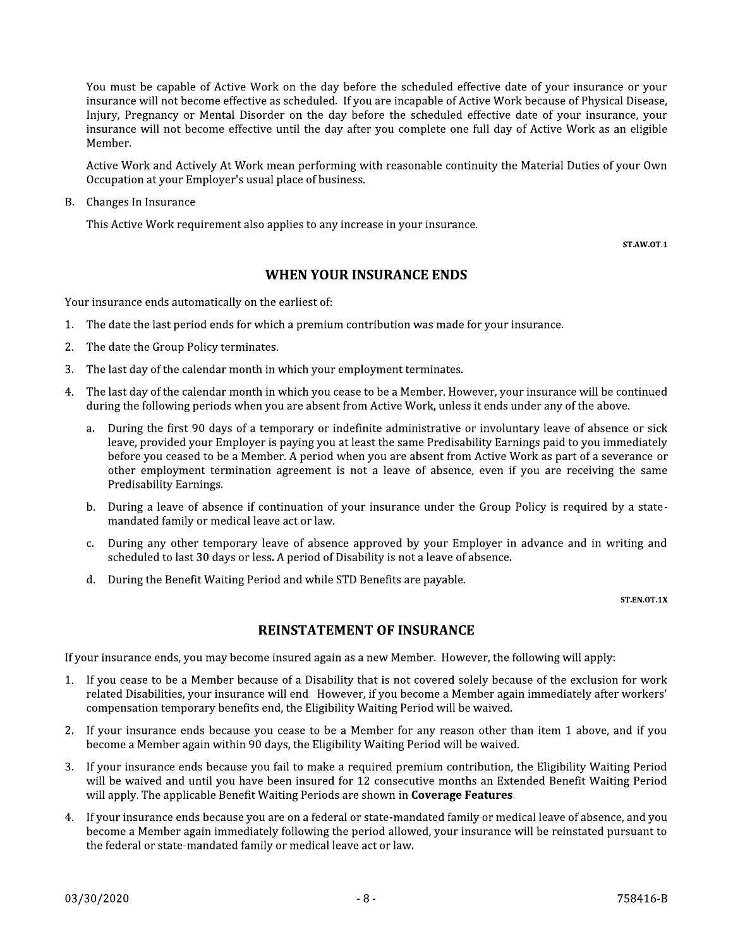You must be capable of Active Work on the day before the scheduled effective date of your insurance or your insurance will not become effective as scheduled. If you are incapable of Active Work because of Physical Disease, Injury, Pregnancy or Mental Disorder on the day before the scheduled effective date of your insurance, your insurance will not become effective until the day after you complete one full day of Active Work as an eligible Member.

Active Work and Actively At Work mean performing with reasonable continuity the Material Duties of your Own Occupation at your Employer's usual place of business.

**B.** Changes In Insurance

This Active Work requirement also applies to any increase in your insurance.

ST.AW.OT.1

## **WHEN YOUR INSURANCE ENDS**

Your insurance ends automatically on the earliest of:

- 1. The date the last period ends for which a premium contribution was made for your insurance.
- 2. The date the Group Policy terminates.
- The last day of the calendar month in which your employment terminates. 3.
- The last day of the calendar month in which you cease to be a Member. However, your insurance will be continued  $4.$ during the following periods when you are absent from Active Work, unless it ends under any of the above.
	- During the first 90 days of a temporary or indefinite administrative or involuntary leave of absence or sick a. leave, provided your Employer is paying you at least the same Predisability Earnings paid to you immediately before you ceased to be a Member. A period when you are absent from Active Work as part of a severance or other employment termination agreement is not a leave of absence, even if you are receiving the same Predisability Earnings.
	- b. During a leave of absence if continuation of your insurance under the Group Policy is required by a statemandated family or medical leave act or law.
	- c. During any other temporary leave of absence approved by your Employer in advance and in writing and scheduled to last 30 days or less. A period of Disability is not a leave of absence.
	- d. During the Benefit Waiting Period and while STD Benefits are payable.

#### ST.EN.OT.1X

#### **REINSTATEMENT OF INSURANCE**

If your insurance ends, you may become insured again as a new Member. However, the following will apply:

- 1. If you cease to be a Member because of a Disability that is not covered solely because of the exclusion for work related Disabilities, your insurance will end. However, if you become a Member again immediately after workers' compensation temporary benefits end, the Eligibility Waiting Period will be waived.
- 2. If your insurance ends because you cease to be a Member for any reason other than item 1 above, and if you become a Member again within 90 days, the Eligibility Waiting Period will be waived.
- 3. If your insurance ends because you fail to make a required premium contribution, the Eligibility Waiting Period will be waived and until you have been insured for 12 consecutive months an Extended Benefit Waiting Period will apply. The applicable Benefit Waiting Periods are shown in Coverage Features.
- 4. If your insurance ends because you are on a federal or state-mandated family or medical leave of absence, and you become a Member again immediately following the period allowed, your insurance will be reinstated pursuant to the federal or state-mandated family or medical leave act or law.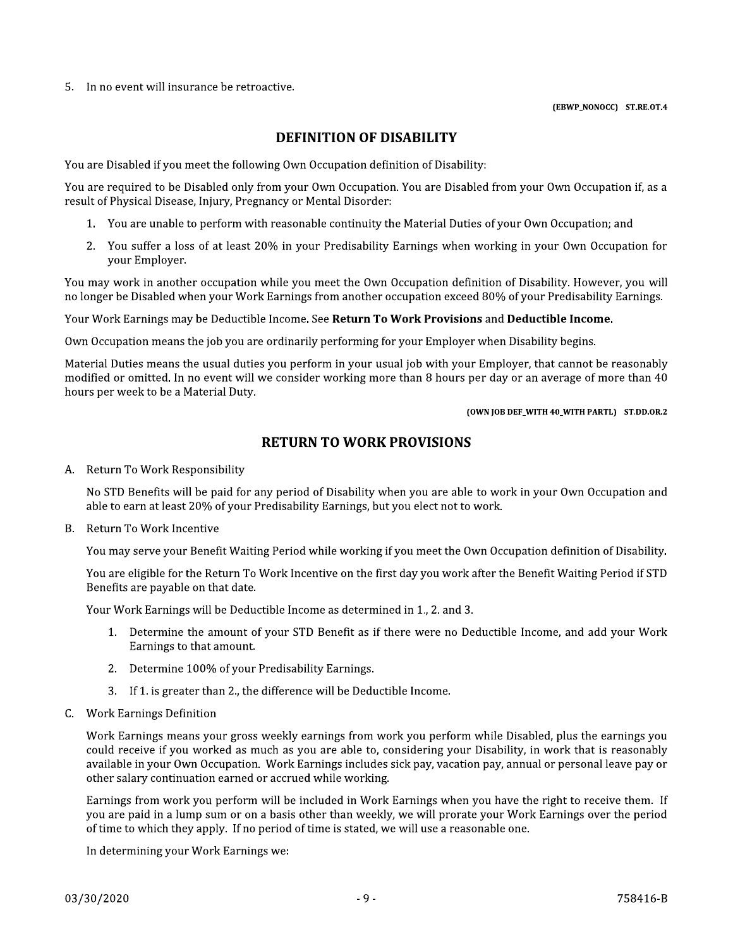5. In no event will insurance be retroactive.

#### **DEFINITION OF DISABILITY**

You are Disabled if you meet the following Own Occupation definition of Disability:

You are required to be Disabled only from your Own Occupation. You are Disabled from your Own Occupation if, as a result of Physical Disease, Injury, Pregnancy or Mental Disorder:

- 1. You are unable to perform with reasonable continuity the Material Duties of your Own Occupation; and
- 2. You suffer a loss of at least 20% in your Predisability Earnings when working in your Own Occupation for vour Emplover.

You may work in another occupation while you meet the Own Occupation definition of Disability. However, you will no longer be Disabled when your Work Earnings from another occupation exceed 80% of your Predisability Earnings.

Your Work Earnings may be Deductible Income. See Return To Work Provisions and Deductible Income.

Own Occupation means the job you are ordinarily performing for your Employer when Disability begins.

Material Duties means the usual duties you perform in your usual job with your Employer, that cannot be reasonably modified or omitted. In no event will we consider working more than 8 hours per day or an average of more than 40 hours per week to be a Material Duty.

(OWN JOB DEF WITH 40 WITH PARTL) ST.DD.OR.2

#### **RETURN TO WORK PROVISIONS**

A. Return To Work Responsibility

No STD Benefits will be paid for any period of Disability when you are able to work in your Own Occupation and able to earn at least 20% of your Predisability Earnings, but you elect not to work.

B. Return To Work Incentive

You may serve your Benefit Waiting Period while working if you meet the Own Occupation definition of Disability.

You are eligible for the Return To Work Incentive on the first day you work after the Benefit Waiting Period if STD Benefits are payable on that date.

Your Work Earnings will be Deductible Income as determined in 1., 2, and 3.

- 1. Determine the amount of your STD Benefit as if there were no Deductible Income, and add your Work Earnings to that amount.
- 2. Determine 100% of your Predisability Earnings.
- 3. If 1. is greater than 2., the difference will be Deductible Income.
- C. Work Earnings Definition

Work Earnings means your gross weekly earnings from work you perform while Disabled, plus the earnings you could receive if you worked as much as you are able to, considering your Disability, in work that is reasonably available in your Own Occupation. Work Earnings includes sick pay, vacation pay, annual or personal leave pay or other salary continuation earned or accrued while working.

Earnings from work you perform will be included in Work Earnings when you have the right to receive them. If you are paid in a lump sum or on a basis other than weekly, we will prorate your Work Earnings over the period of time to which they apply. If no period of time is stated, we will use a reasonable one.

In determining your Work Earnings we: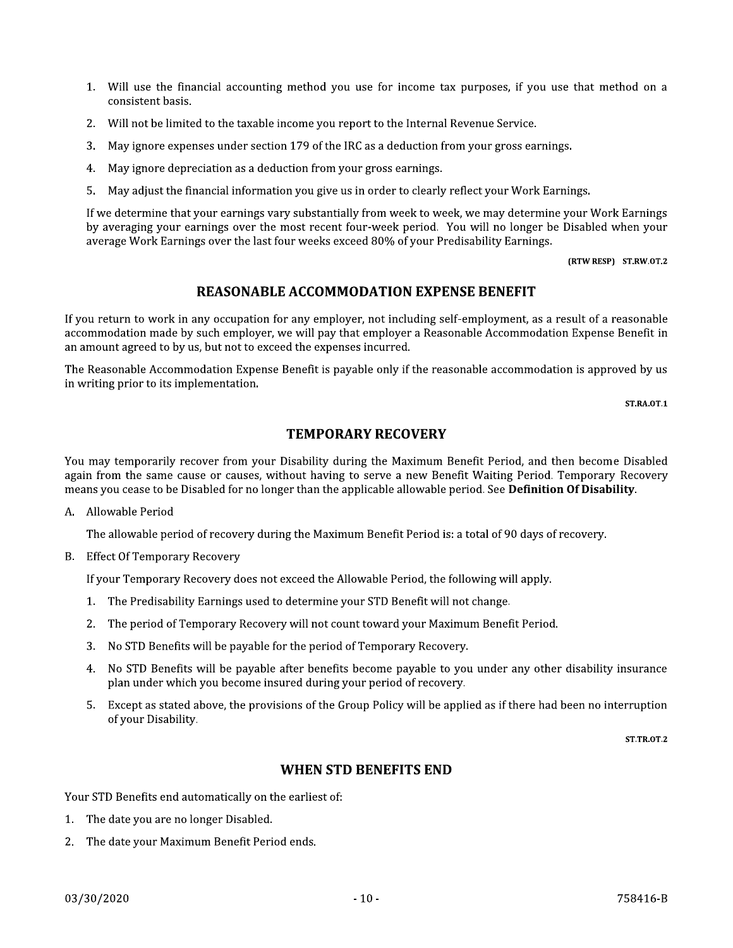- 1. Will use the financial accounting method you use for income tax purposes, if you use that method on a consistent basis.
- 2. Will not be limited to the taxable income you report to the Internal Revenue Service.
- 3. May ignore expenses under section 179 of the IRC as a deduction from your gross earnings.
- 4. May ignore depreciation as a deduction from your gross earnings.
- 5. May adjust the financial information you give us in order to clearly reflect your Work Earnings.

If we determine that your earnings vary substantially from week to week, we may determine your Work Earnings by averaging your earnings over the most recent four-week period. You will no longer be Disabled when your average Work Earnings over the last four weeks exceed 80% of your Predisability Earnings.

(RTW RESP) ST.RW.OT.2

## **REASONABLE ACCOMMODATION EXPENSE BENEFIT**

If you return to work in any occupation for any employer, not including self-employment, as a result of a reasonable accommodation made by such employer, we will pay that employer a Reasonable Accommodation Expense Benefit in an amount agreed to by us, but not to exceed the expenses incurred.

The Reasonable Accommodation Expense Benefit is payable only if the reasonable accommodation is approved by us in writing prior to its implementation.

**ST.RA.OT.1** 

## **TEMPORARY RECOVERY**

You may temporarily recover from your Disability during the Maximum Benefit Period, and then become Disabled again from the same cause or causes, without having to serve a new Benefit Waiting Period. Temporary Recovery means you cease to be Disabled for no longer than the applicable allowable period. See **Definition Of Disability**.

A. Allowable Period

The allowable period of recovery during the Maximum Benefit Period is: a total of 90 days of recovery.

B. Effect Of Temporary Recovery

If your Temporary Recovery does not exceed the Allowable Period, the following will apply.

- 1. The Predisability Earnings used to determine your STD Benefit will not change.
- 2. The period of Temporary Recovery will not count toward your Maximum Benefit Period.
- 3. No STD Benefits will be payable for the period of Temporary Recovery.
- 4. No STD Benefits will be payable after benefits become payable to you under any other disability insurance plan under which you become insured during your period of recovery.
- 5. Except as stated above, the provisions of the Group Policy will be applied as if there had been no interruption of your Disability.

**ST.TR.OT.2** 

#### **WHEN STD BENEFITS END**

Your STD Benefits end automatically on the earliest of:

- 1. The date you are no longer Disabled.
- The date your Maximum Benefit Period ends.  $2<sup>1</sup>$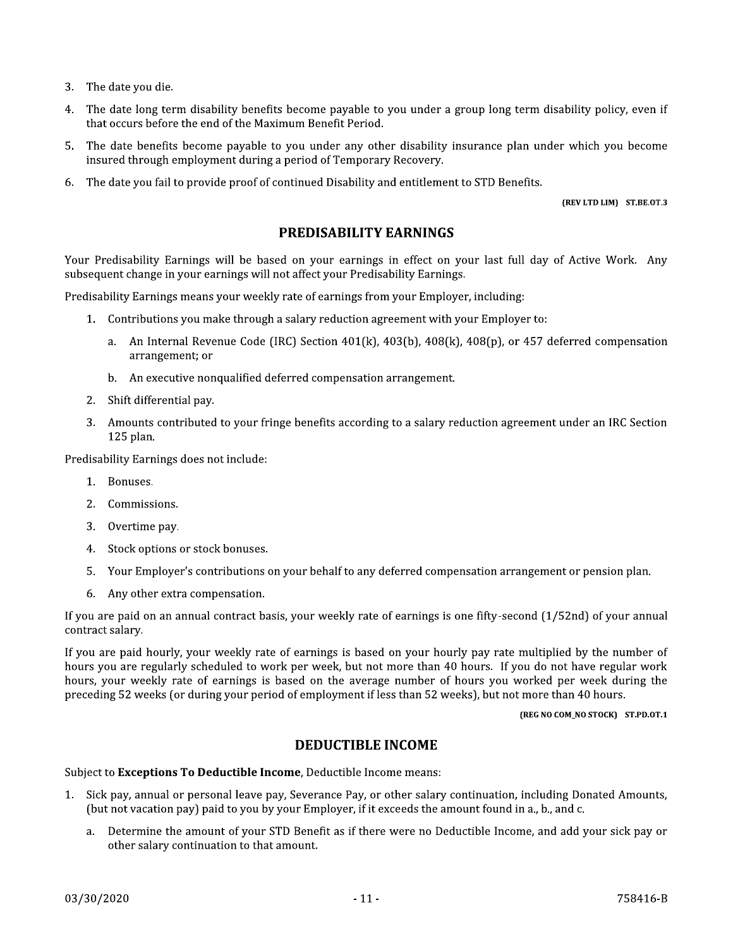- 3. The date you die.
- The date long term disability benefits become payable to you under a group long term disability policy, even if  $\overline{4}$ that occurs before the end of the Maximum Benefit Period.
- The date benefits become payable to you under any other disability insurance plan under which you become  $5.$ insured through employment during a period of Temporary Recovery.
- The date you fail to provide proof of continued Disability and entitlement to STD Benefits. 6.

(REV LTD LIM) ST.BE.OT.3

#### **PREDISABILITY EARNINGS**

Your Predisability Earnings will be based on your earnings in effect on your last full day of Active Work. Any subsequent change in your earnings will not affect your Predisability Earnings.

Predisability Earnings means your weekly rate of earnings from your Employer, including:

- 1. Contributions you make through a salary reduction agreement with your Employer to:
	- a. An Internal Revenue Code (IRC) Section  $401(k)$ ,  $403(b)$ ,  $408(k)$ ,  $408(p)$ , or  $457$  deferred compensation arrangement; or
	- b. An executive nonqualified deferred compensation arrangement.
- 2. Shift differential pay.
- 3. Amounts contributed to your fringe benefits according to a salary reduction agreement under an IRC Section 125 plan.

Predisability Earnings does not include:

- 1. Bonuses.
- 2. Commissions.
- 3. Overtime pay.
- 4. Stock options or stock bonuses.
- 5. Your Employer's contributions on your behalf to any deferred compensation arrangement or pension plan.
- 6. Any other extra compensation.

If you are paid on an annual contract basis, your weekly rate of earnings is one fifty-second (1/52nd) of your annual contract salary.

If you are paid hourly, your weekly rate of earnings is based on your hourly pay rate multiplied by the number of hours you are regularly scheduled to work per week, but not more than 40 hours. If you do not have regular work hours, your weekly rate of earnings is based on the average number of hours you worked per week during the preceding 52 weeks (or during your period of employment if less than 52 weeks), but not more than 40 hours.

(REG NO COM\_NO STOCK) ST.PD.OT.1

#### **DEDUCTIBLE INCOME**

Subject to Exceptions To Deductible Income, Deductible Income means:

- 1. Sick pay, annual or personal leave pay, Severance Pay, or other salary continuation, including Donated Amounts, (but not vacation pay) paid to you by your Employer, if it exceeds the amount found in a., b., and c.
	- Determine the amount of your STD Benefit as if there were no Deductible Income, and add your sick pay or  $a_{\cdot}$ other salary continuation to that amount.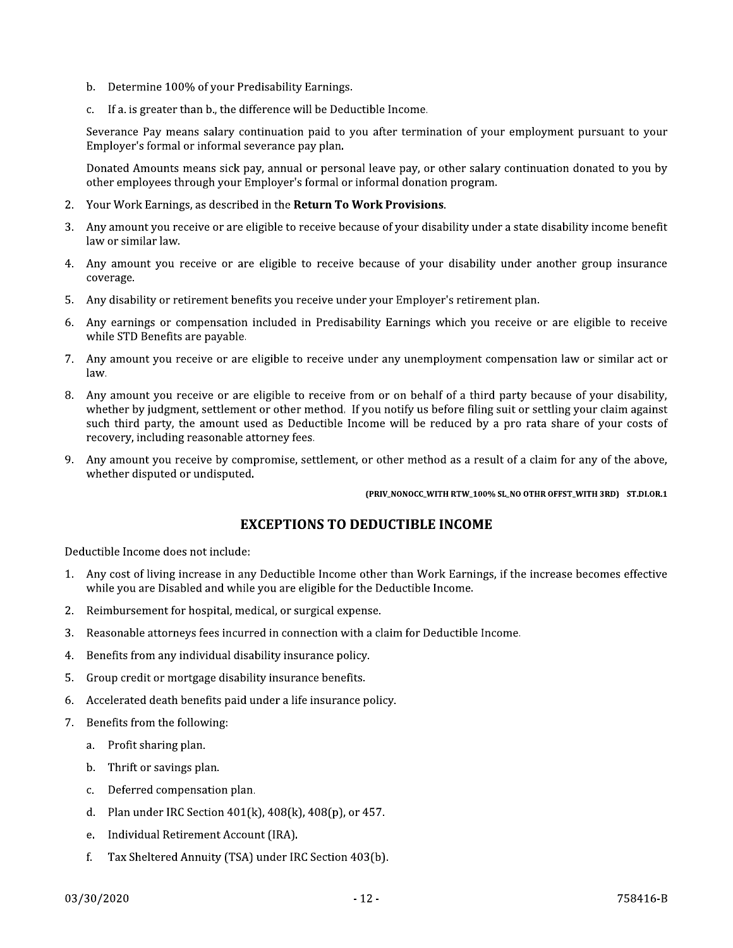- b. Determine 100% of your Predisability Earnings.
- If a. is greater than b., the difference will be Deductible Income.  $\mathbf{C}$

Severance Pay means salary continuation paid to you after termination of your employment pursuant to your Employer's formal or informal severance pay plan.

Donated Amounts means sick pay, annual or personal leave pay, or other salary continuation donated to you by other employees through your Employer's formal or informal donation program.

- 2. Your Work Earnings, as described in the Return To Work Provisions.
- 3. Any amount you receive or are eligible to receive because of your disability under a state disability income benefit law or similar law.
- 4. Any amount you receive or are eligible to receive because of your disability under another group insurance coverage.
- 5. Any disability or retirement benefits you receive under your Employer's retirement plan.
- 6. Any earnings or compensation included in Predisability Earnings which you receive or are eligible to receive while STD Benefits are payable.
- 7. Any amount you receive or are eligible to receive under any unemployment compensation law or similar act or law.
- 8. Any amount you receive or are eligible to receive from or on behalf of a third party because of your disability, whether by judgment, settlement or other method. If you notify us before filing suit or settling your claim against such third party, the amount used as Deductible Income will be reduced by a pro rata share of your costs of recovery, including reasonable attorney fees.
- 9. Any amount you receive by compromise, settlement, or other method as a result of a claim for any of the above, whether disputed or undisputed.

(PRIV\_NONOCC\_WITH RTW\_100% SL\_NO OTHR OFFST\_WITH 3RD) ST.DI.OR.1

#### **EXCEPTIONS TO DEDUCTIBLE INCOME**

Deductible Income does not include:

- 1. Any cost of living increase in any Deductible Income other than Work Earnings, if the increase becomes effective while you are Disabled and while you are eligible for the Deductible Income.
- $2.$ Reimbursement for hospital, medical, or surgical expense.
- $3.$ Reasonable attorneys fees incurred in connection with a claim for Deductible Income.
- Benefits from any individual disability insurance policy. 4.
- $5.$ Group credit or mortgage disability insurance benefits.
- 6. Accelerated death benefits paid under a life insurance policy.
- 7. Benefits from the following:
	- a. Profit sharing plan.
	- b. Thrift or savings plan.
	- c. Deferred compensation plan.
	- d. Plan under IRC Section  $401(k)$ ,  $408(k)$ ,  $408(p)$ , or  $457$ .
	- e. Individual Retirement Account (IRA).
	- $f_{\cdot}$ Tax Sheltered Annuity (TSA) under IRC Section 403(b).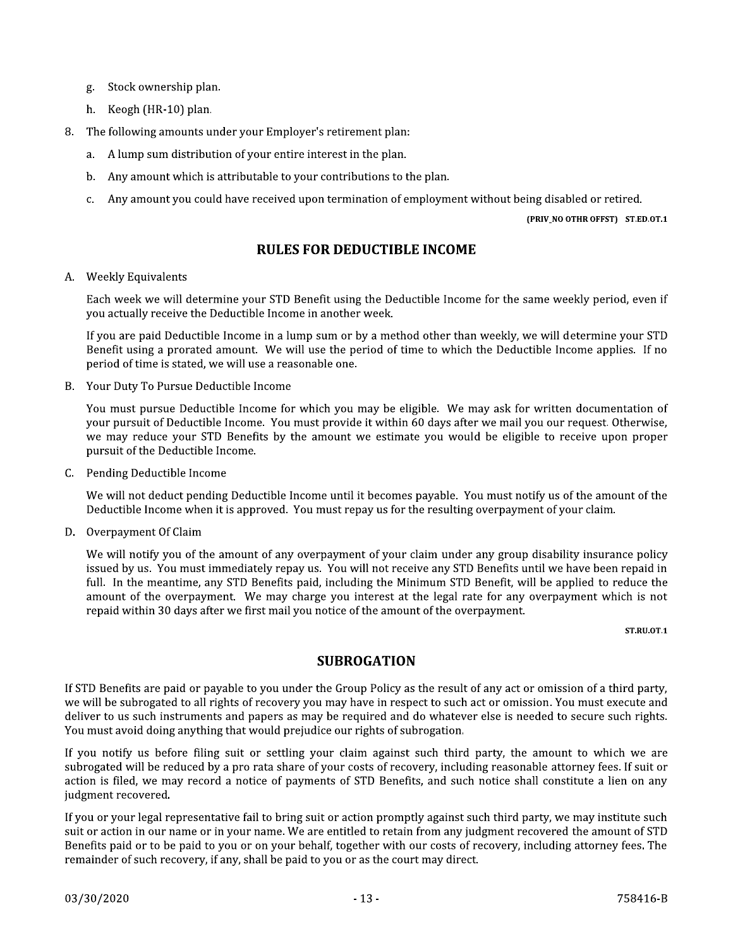- Stock ownership plan. g.
- h. Keogh (HR-10) plan.
- The following amounts under your Employer's retirement plan: 8.
	- a. A lump sum distribution of your entire interest in the plan.
	- b. Any amount which is attributable to your contributions to the plan.
	- Any amount you could have received upon termination of employment without being disabled or retired.  $C_{\alpha}$

(PRIV\_NO OTHR OFFST) ST.ED.OT.1

#### **RULES FOR DEDUCTIBLE INCOME**

#### A. Weekly Equivalents

Each week we will determine your STD Benefit using the Deductible Income for the same weekly period, even if you actually receive the Deductible Income in another week.

If you are paid Deductible Income in a lump sum or by a method other than weekly, we will determine your STD Benefit using a prorated amount. We will use the period of time to which the Deductible Income applies. If no period of time is stated, we will use a reasonable one.

B. Your Duty To Pursue Deductible Income

You must pursue Deductible Income for which you may be eligible. We may ask for written documentation of your pursuit of Deductible Income. You must provide it within 60 days after we mail you our request. Otherwise, we may reduce your STD Benefits by the amount we estimate you would be eligible to receive upon proper pursuit of the Deductible Income.

C. Pending Deductible Income

We will not deduct pending Deductible Income until it becomes payable. You must notify us of the amount of the Deductible Income when it is approved. You must repay us for the resulting overpayment of your claim.

D. Overpayment Of Claim

We will notify you of the amount of any overpayment of your claim under any group disability insurance policy issued by us. You must immediately repay us. You will not receive any STD Benefits until we have been repaid in full. In the meantime, any STD Benefits paid, including the Minimum STD Benefit, will be applied to reduce the amount of the overpayment. We may charge you interest at the legal rate for any overpayment which is not repaid within 30 days after we first mail you notice of the amount of the overpayment.

**ST.RU.OT.1** 

#### **SUBROGATION**

If STD Benefits are paid or payable to you under the Group Policy as the result of any act or omission of a third party, we will be subrogated to all rights of recovery you may have in respect to such act or omission. You must execute and deliver to us such instruments and papers as may be required and do whatever else is needed to secure such rights. You must avoid doing anything that would prejudice our rights of subrogation.

If you notify us before filing suit or settling your claim against such third party, the amount to which we are subrogated will be reduced by a pro rata share of your costs of recovery, including reasonable attorney fees. If suit or action is filed, we may record a notice of payments of STD Benefits, and such notice shall constitute a lien on any judgment recovered.

If you or your legal representative fail to bring suit or action promptly against such third party, we may institute such suit or action in our name or in your name. We are entitled to retain from any judgment recovered the amount of STD Benefits paid or to be paid to you or on your behalf, together with our costs of recovery, including attorney fees. The remainder of such recovery, if any, shall be paid to you or as the court may direct.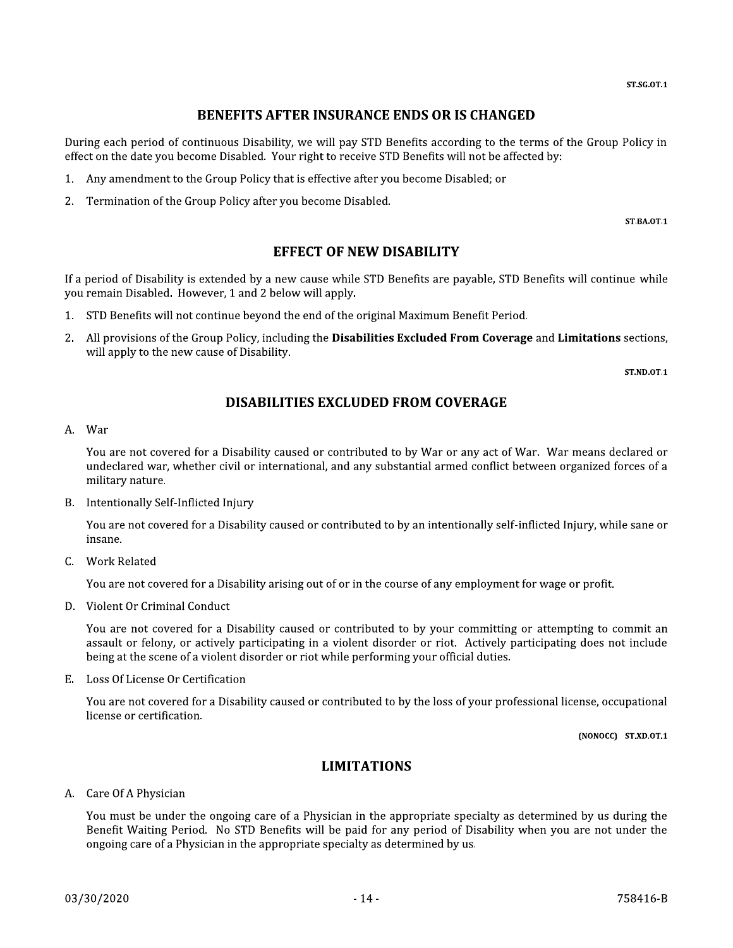## **BENEFITS AFTER INSURANCE ENDS OR IS CHANGED**

During each period of continuous Disability, we will pay STD Benefits according to the terms of the Group Policy in effect on the date you become Disabled. Your right to receive STD Benefits will not be affected by:

- 1. Any amendment to the Group Policy that is effective after you become Disabled; or
- 2. Termination of the Group Policy after you become Disabled.

**ST.BA.OT.1** 

#### **EFFECT OF NEW DISABILITY**

If a period of Disability is extended by a new cause while STD Benefits are payable, STD Benefits will continue while you remain Disabled. However, 1 and 2 below will apply.

- 1. STD Benefits will not continue beyond the end of the original Maximum Benefit Period.
- 2. All provisions of the Group Policy, including the **Disabilities Excluded From Coverage** and **Limitations** sections, will apply to the new cause of Disability.

**ST.ND.OT.1** 

## **DISABILITIES EXCLUDED FROM COVERAGE**

#### A. War

You are not covered for a Disability caused or contributed to by War or any act of War. War means declared or undeclared war, whether civil or international, and any substantial armed conflict between organized forces of a military nature.

B. Intentionally Self-Inflicted Injury

You are not covered for a Disability caused or contributed to by an intentionally self-inflicted Injury, while sane or insane.

C. Work Related

You are not covered for a Disability arising out of or in the course of any employment for wage or profit.

D. Violent Or Criminal Conduct

You are not covered for a Disability caused or contributed to by your committing or attempting to commit an assault or felony, or actively participating in a violent disorder or riot. Actively participating does not include being at the scene of a violent disorder or riot while performing your official duties.

E. Loss Of License Or Certification

You are not covered for a Disability caused or contributed to by the loss of your professional license, occupational license or certification.

(NONOCC) ST.XD.OT.1

## **LIMITATIONS**

#### A. Care Of A Physician

You must be under the ongoing care of a Physician in the appropriate specialty as determined by us during the Benefit Waiting Period. No STD Benefits will be paid for any period of Disability when you are not under the ongoing care of a Physician in the appropriate specialty as determined by us.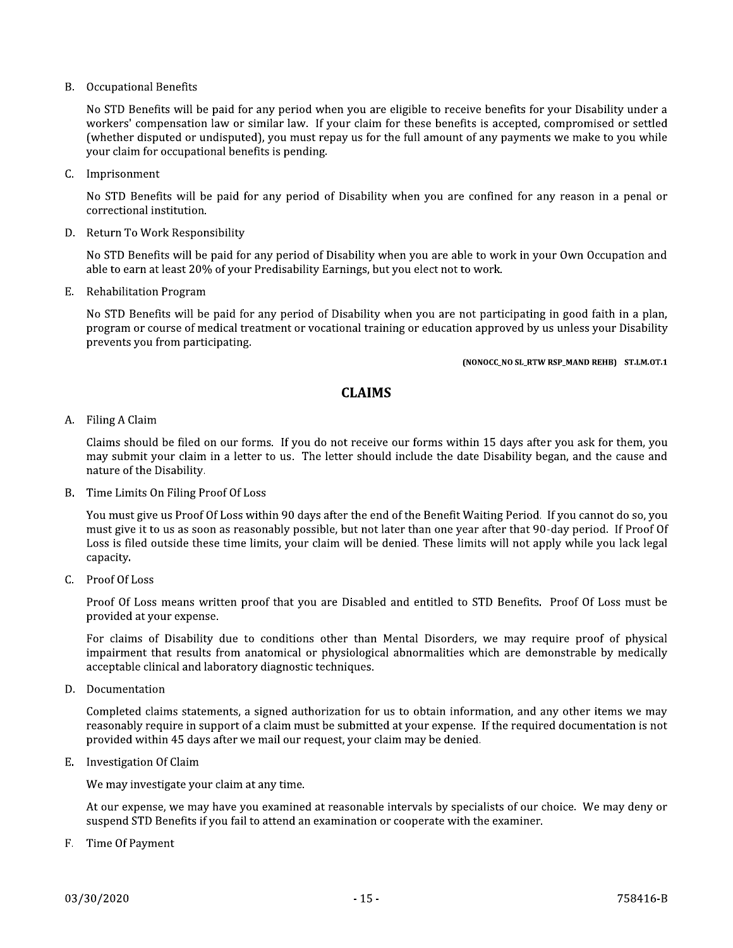**B.** Occupational Benefits

No STD Benefits will be paid for any period when you are eligible to receive benefits for your Disability under a workers' compensation law or similar law. If your claim for these benefits is accepted, compromised or settled (whether disputed or undisputed), you must repay us for the full amount of any payments we make to you while your claim for occupational benefits is pending.

C. Imprisonment

No STD Benefits will be paid for any period of Disability when you are confined for any reason in a penal or correctional institution.

D. Return To Work Responsibility

No STD Benefits will be paid for any period of Disability when you are able to work in your Own Occupation and able to earn at least 20% of your Predisability Earnings, but you elect not to work.

E. Rehabilitation Program

No STD Benefits will be paid for any period of Disability when you are not participating in good faith in a plan, program or course of medical treatment or vocational training or education approved by us unless your Disability prevents you from participating.

(NONOCC\_NO SL\_RTW RSP\_MAND REHB) ST.LM.OT.1

#### **CLAIMS**

A. Filing A Claim

Claims should be filed on our forms. If you do not receive our forms within 15 days after you ask for them, you may submit your claim in a letter to us. The letter should include the date Disability began, and the cause and nature of the Disability.

B. Time Limits On Filing Proof Of Loss

You must give us Proof Of Loss within 90 days after the end of the Benefit Waiting Period. If you cannot do so, you must give it to us as soon as reasonably possible, but not later than one year after that 90-day period. If Proof Of Loss is filed outside these time limits, your claim will be denied. These limits will not apply while you lack legal capacity.

 $C.$  Proof Of Loss

Proof Of Loss means written proof that you are Disabled and entitled to STD Benefits. Proof Of Loss must be provided at your expense.

For claims of Disability due to conditions other than Mental Disorders, we may require proof of physical impairment that results from anatomical or physiological abnormalities which are demonstrable by medically acceptable clinical and laboratory diagnostic techniques.

D. Documentation

Completed claims statements, a signed authorization for us to obtain information, and any other items we may reasonably require in support of a claim must be submitted at your expense. If the required documentation is not provided within 45 days after we mail our request, your claim may be denied.

E. Investigation Of Claim

We may investigate your claim at any time.

At our expense, we may have you examined at reasonable intervals by specialists of our choice. We may deny or suspend STD Benefits if you fail to attend an examination or cooperate with the examiner.

F. Time Of Payment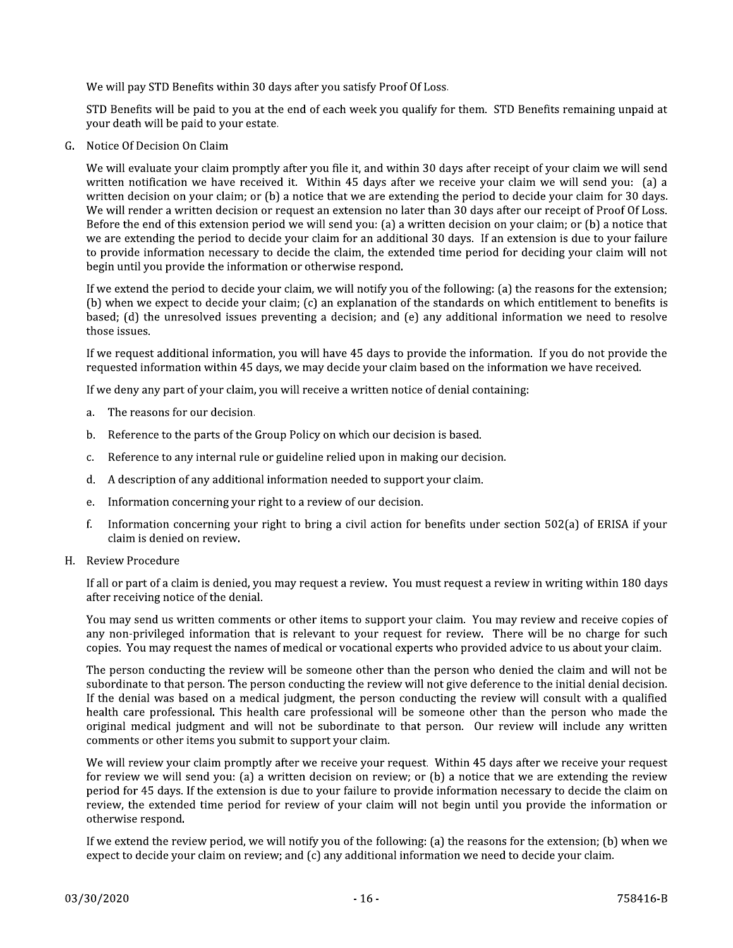We will pay STD Benefits within 30 days after you satisfy Proof Of Loss.

STD Benefits will be paid to you at the end of each week you qualify for them. STD Benefits remaining unpaid at your death will be paid to your estate.

G. Notice Of Decision On Claim

We will evaluate your claim promptly after you file it, and within 30 days after receipt of your claim we will send written notification we have received it. Within 45 days after we receive your claim we will send you: (a) a written decision on your claim; or (b) a notice that we are extending the period to decide your claim for 30 days. We will render a written decision or request an extension no later than 30 days after our receipt of Proof Of Loss. Before the end of this extension period we will send you: (a) a written decision on your claim; or (b) a notice that we are extending the period to decide your claim for an additional 30 days. If an extension is due to your failure to provide information necessary to decide the claim, the extended time period for deciding your claim will not begin until you provide the information or otherwise respond.

If we extend the period to decide your claim, we will notify you of the following: (a) the reasons for the extension; (b) when we expect to decide your claim; (c) an explanation of the standards on which entitlement to benefits is based; (d) the unresolved issues preventing a decision; and (e) any additional information we need to resolve those issues.

If we request additional information, you will have 45 days to provide the information. If you do not provide the requested information within 45 days, we may decide your claim based on the information we have received.

If we deny any part of your claim, you will receive a written notice of denial containing:

- a. The reasons for our decision.
- Reference to the parts of the Group Policy on which our decision is based. b.
- Reference to any internal rule or guideline relied upon in making our decision. c.
- d. A description of any additional information needed to support your claim.
- Information concerning your right to a review of our decision. e.
- f. Information concerning your right to bring a civil action for benefits under section 502(a) of ERISA if your claim is denied on review.
- H. Review Procedure

If all or part of a claim is denied, you may request a review. You must request a review in writing within 180 days after receiving notice of the denial.

You may send us written comments or other items to support your claim. You may review and receive copies of any non-privileged information that is relevant to your request for review. There will be no charge for such copies. You may request the names of medical or vocational experts who provided advice to us about your claim.

The person conducting the review will be someone other than the person who denied the claim and will not be subordinate to that person. The person conducting the review will not give deference to the initial denial decision. If the denial was based on a medical judgment, the person conducting the review will consult with a qualified health care professional. This health care professional will be someone other than the person who made the original medical judgment and will not be subordinate to that person. Our review will include any written comments or other items you submit to support your claim.

We will review your claim promptly after we receive your request. Within 45 days after we receive your request for review we will send you: (a) a written decision on review; or (b) a notice that we are extending the review period for 45 days. If the extension is due to your failure to provide information necessary to decide the claim on review, the extended time period for review of your claim will not begin until you provide the information or otherwise respond.

If we extend the review period, we will notify you of the following: (a) the reasons for the extension; (b) when we expect to decide your claim on review; and (c) any additional information we need to decide your claim.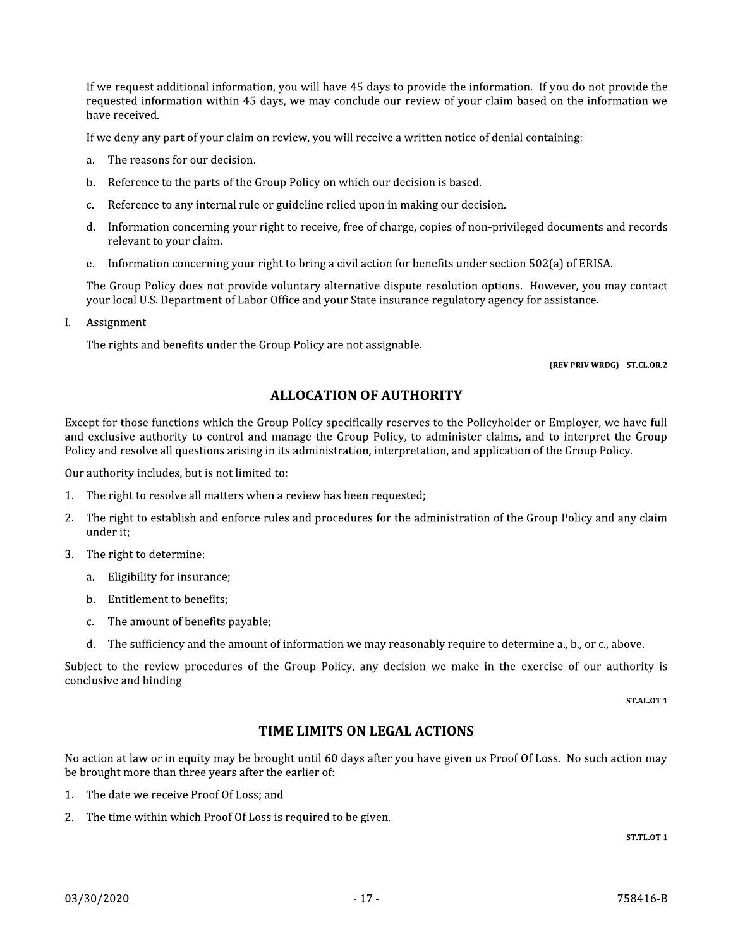If we request additional information, you will have 45 days to provide the information. If you do not provide the requested information within 45 days, we may conclude our review of your claim based on the information we have received.

If we deny any part of your claim on review, you will receive a written notice of denial containing:

- The reasons for our decision. a.
- Reference to the parts of the Group Policy on which our decision is based.  $h_{-}$
- Reference to any internal rule or guideline relied upon in making our decision. c.
- d. Information concerning your right to receive, free of charge, copies of non-privileged documents and records relevant to your claim.
- Information concerning your right to bring a civil action for benefits under section 502(a) of ERISA.  $e<sub>1</sub>$

The Group Policy does not provide voluntary alternative dispute resolution options. However, you may contact your local U.S. Department of Labor Office and your State insurance regulatory agency for assistance.

L. Assignment

The rights and benefits under the Group Policy are not assignable.

(REV PRIV WRDG) ST.CL.OR.2

## **ALLOCATION OF AUTHORITY**

Except for those functions which the Group Policy specifically reserves to the Policyholder or Employer, we have full and exclusive authority to control and manage the Group Policy, to administer claims, and to interpret the Group Policy and resolve all questions arising in its administration, interpretation, and application of the Group Policy.

Our authority includes, but is not limited to:

- 1. The right to resolve all matters when a review has been requested;
- The right to establish and enforce rules and procedures for the administration of the Group Policy and any claim  $2<sub>1</sub>$ under it;
- The right to determine: 3.
	- a. Eligibility for insurance;
	- b. Entitlement to benefits;
	- The amount of benefits payable:  $\mathbf{C}$ .
	- The sufficiency and the amount of information we may reasonably require to determine a., b., or c., above. d.

Subject to the review procedures of the Group Policy, any decision we make in the exercise of our authority is conclusive and binding.

**ST.AL.OT.1** 

#### TIME LIMITS ON LEGAL ACTIONS

No action at law or in equity may be brought until 60 days after you have given us Proof Of Loss. No such action may be brought more than three years after the earlier of:

- 1. The date we receive Proof Of Loss; and
- 2. The time within which Proof Of Loss is required to be given.

**ST.TL.OT.1**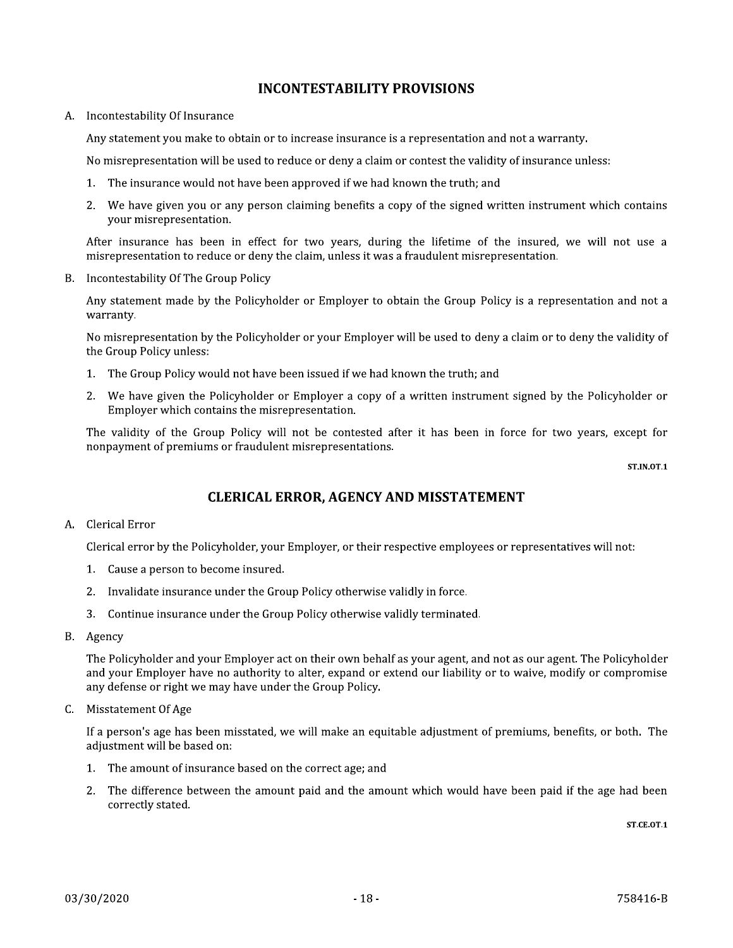#### **INCONTESTABILITY PROVISIONS**

A. Incontestability Of Insurance

Any statement you make to obtain or to increase insurance is a representation and not a warranty.

No misrepresentation will be used to reduce or deny a claim or contest the validity of insurance unless:

- 1. The insurance would not have been approved if we had known the truth; and
- 2. We have given you or any person claiming benefits a copy of the signed written instrument which contains your misrepresentation.

After insurance has been in effect for two years, during the lifetime of the insured, we will not use a misrepresentation to reduce or deny the claim, unless it was a fraudulent misrepresentation.

B. Incontestability Of The Group Policy

Any statement made by the Policyholder or Employer to obtain the Group Policy is a representation and not a warranty.

No misrepresentation by the Policyholder or your Employer will be used to deny a claim or to deny the validity of the Group Policy unless:

- 1. The Group Policy would not have been issued if we had known the truth; and
- 2. We have given the Policyholder or Employer a copy of a written instrument signed by the Policyholder or Employer which contains the misrepresentation.

The validity of the Group Policy will not be contested after it has been in force for two years, except for nonpayment of premiums or fraudulent misrepresentations.

**ST.IN.OT.1** 

## **CLERICAL ERROR, AGENCY AND MISSTATEMENT**

A. Clerical Error

Clerical error by the Policyholder, your Employer, or their respective employees or representatives will not:

- 1. Cause a person to become insured.
- 2. Invalidate insurance under the Group Policy otherwise validly in force.
- 3. Continue insurance under the Group Policy otherwise validly terminated.
- B. Agency

The Policyholder and your Employer act on their own behalf as your agent, and not as our agent. The Policyholder and your Employer have no authority to alter, expand or extend our liability or to waive, modify or compromise any defense or right we may have under the Group Policy.

C. Misstatement Of Age

If a person's age has been misstated, we will make an equitable adjustment of premiums, benefits, or both. The adjustment will be based on:

- 1. The amount of insurance based on the correct age; and
- 2. The difference between the amount paid and the amount which would have been paid if the age had been correctly stated.

**ST.CE.OT.1**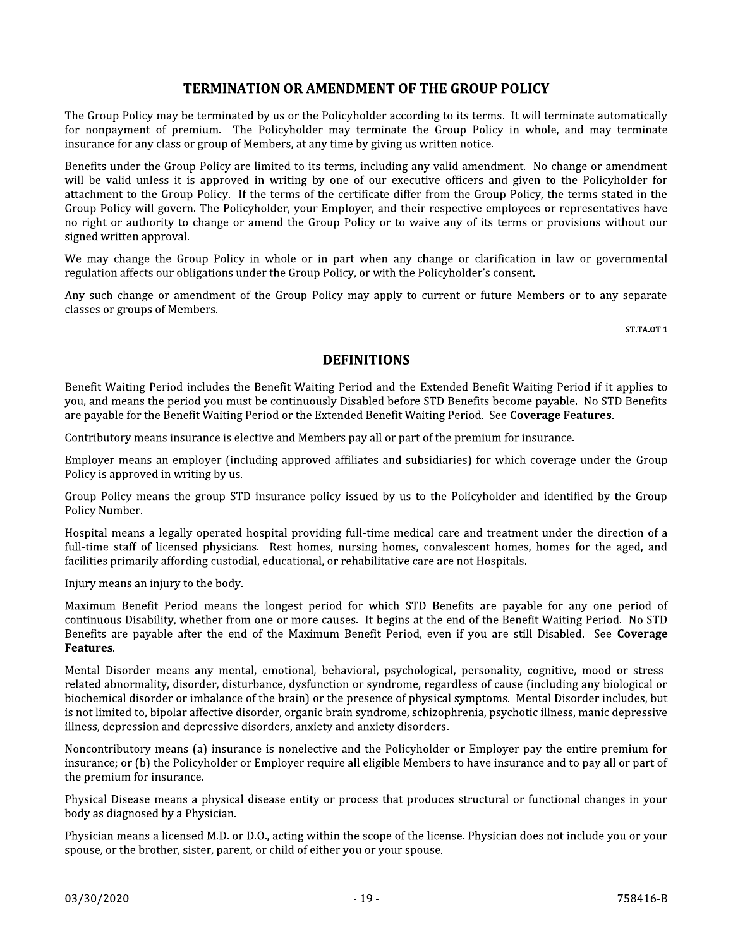#### **TERMINATION OR AMENDMENT OF THE GROUP POLICY**

The Group Policy may be terminated by us or the Policyholder according to its terms. It will terminate automatically for nonpayment of premium. The Policyholder may terminate the Group Policy in whole, and may terminate insurance for any class or group of Members, at any time by giving us written notice.

Benefits under the Group Policy are limited to its terms, including any valid amendment. No change or amendment will be valid unless it is approved in writing by one of our executive officers and given to the Policyholder for attachment to the Group Policy. If the terms of the certificate differ from the Group Policy, the terms stated in the Group Policy will govern. The Policyholder, your Employer, and their respective employees or representatives have no right or authority to change or amend the Group Policy or to waive any of its terms or provisions without our signed written approval.

We may change the Group Policy in whole or in part when any change or clarification in law or governmental regulation affects our obligations under the Group Policy, or with the Policyholder's consent.

Any such change or amendment of the Group Policy may apply to current or future Members or to any separate classes or groups of Members.

**ST.TA.OT.1** 

#### **DEFINITIONS**

Benefit Waiting Period includes the Benefit Waiting Period and the Extended Benefit Waiting Period if it applies to you, and means the period you must be continuously Disabled before STD Benefits become payable. No STD Benefits are payable for the Benefit Waiting Period or the Extended Benefit Waiting Period. See Coverage Features.

Contributory means insurance is elective and Members pay all or part of the premium for insurance.

Employer means an employer (including approved affiliates and subsidiaries) for which coverage under the Group Policy is approved in writing by us.

Group Policy means the group STD insurance policy issued by us to the Policyholder and identified by the Group Policy Number.

Hospital means a legally operated hospital providing full-time medical care and treatment under the direction of a full-time staff of licensed physicians. Rest homes, nursing homes, convalescent homes, homes for the aged, and facilities primarily affording custodial, educational, or rehabilitative care are not Hospitals.

Injury means an injury to the body.

Maximum Benefit Period means the longest period for which STD Benefits are payable for any one period of continuous Disability, whether from one or more causes. It begins at the end of the Benefit Waiting Period. No STD Benefits are payable after the end of the Maximum Benefit Period, even if you are still Disabled. See Coverage Features.

Mental Disorder means any mental, emotional, behavioral, psychological, personality, cognitive, mood or stressrelated abnormality, disorder, disturbance, dysfunction or syndrome, regardless of cause (including any biological or biochemical disorder or imbalance of the brain) or the presence of physical symptoms. Mental Disorder includes, but is not limited to, bipolar affective disorder, organic brain syndrome, schizophrenia, psychotic illness, manic depressive illness, depression and depressive disorders, anxiety and anxiety disorders.

Noncontributory means (a) insurance is nonelective and the Policyholder or Employer pay the entire premium for insurance; or (b) the Policyholder or Employer require all eligible Members to have insurance and to pay all or part of the premium for insurance.

Physical Disease means a physical disease entity or process that produces structural or functional changes in your body as diagnosed by a Physician.

Physician means a licensed M.D. or D.O., acting within the scope of the license. Physician does not include you or your spouse, or the brother, sister, parent, or child of either you or your spouse.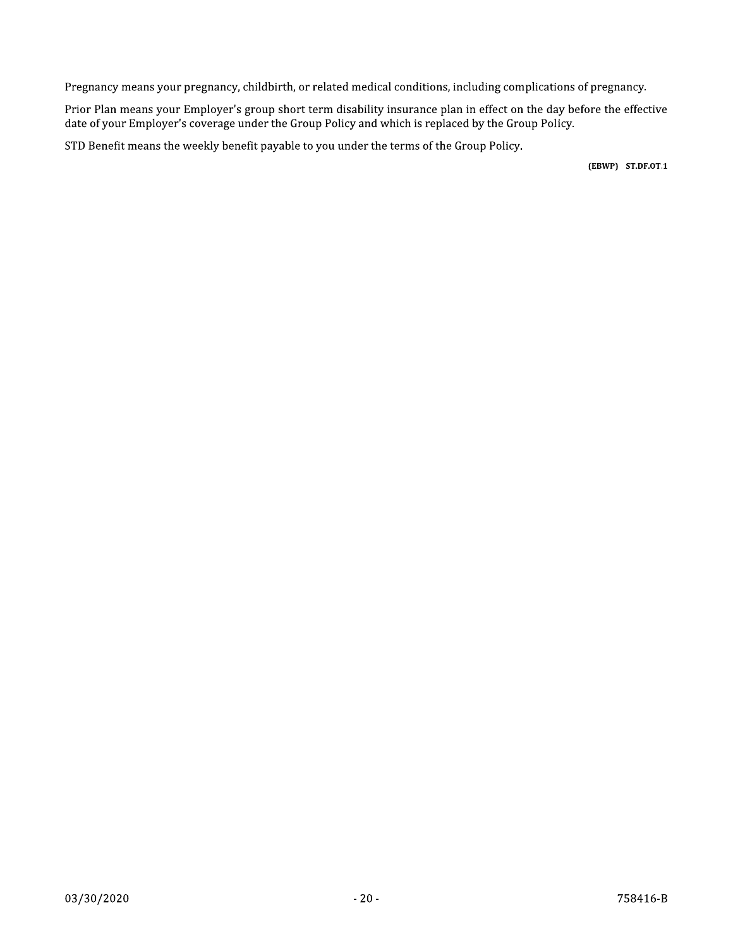Pregnancy means your pregnancy, childbirth, or related medical conditions, including complications of pregnancy.

Prior Plan means your Employer's group short term disability insurance plan in effect on the day before the effective date of your Employer's coverage under the Group Policy and which is replaced by the Group Policy.

STD Benefit means the weekly benefit payable to you under the terms of the Group Policy.

(EBWP) ST.DF.OT.1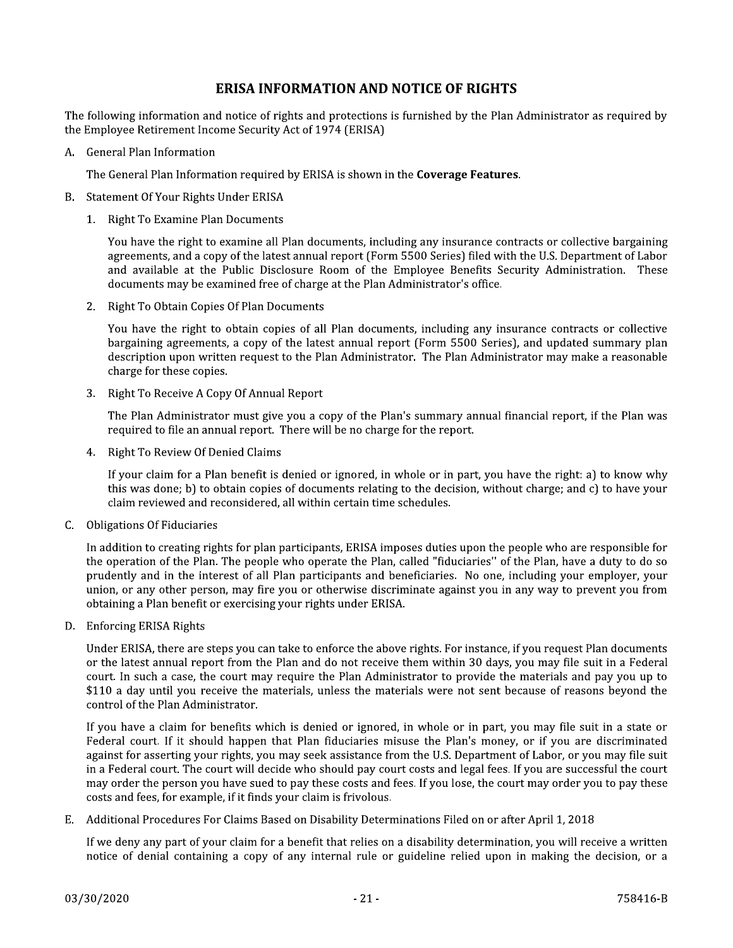#### **ERISA INFORMATION AND NOTICE OF RIGHTS**

The following information and notice of rights and protections is furnished by the Plan Administrator as required by the Employee Retirement Income Security Act of 1974 (ERISA)

A. General Plan Information

The General Plan Information required by ERISA is shown in the Coverage Features.

- B. Statement Of Your Rights Under ERISA
	- 1. Right To Examine Plan Documents

You have the right to examine all Plan documents, including any insurance contracts or collective bargaining agreements, and a copy of the latest annual report (Form 5500 Series) filed with the U.S. Department of Labor and available at the Public Disclosure Room of the Employee Benefits Security Administration. These documents may be examined free of charge at the Plan Administrator's office.

2. Right To Obtain Copies Of Plan Documents

You have the right to obtain copies of all Plan documents, including any insurance contracts or collective bargaining agreements, a copy of the latest annual report (Form 5500 Series), and updated summary plan description upon written request to the Plan Administrator. The Plan Administrator may make a reasonable charge for these copies.

3. Right To Receive A Copy Of Annual Report

The Plan Administrator must give you a copy of the Plan's summary annual financial report, if the Plan was required to file an annual report. There will be no charge for the report.

4. Right To Review Of Denied Claims

If your claim for a Plan benefit is denied or ignored, in whole or in part, you have the right: a) to know why this was done; b) to obtain copies of documents relating to the decision, without charge; and c) to have your claim reviewed and reconsidered, all within certain time schedules.

C. Obligations Of Fiduciaries

In addition to creating rights for plan participants, ERISA imposes duties upon the people who are responsible for the operation of the Plan. The people who operate the Plan, called "fiduciaries" of the Plan, have a duty to do so prudently and in the interest of all Plan participants and beneficiaries. No one, including your employer, your union, or any other person, may fire you or otherwise discriminate against you in any way to prevent you from obtaining a Plan benefit or exercising your rights under ERISA.

D. Enforcing ERISA Rights

Under ERISA, there are steps you can take to enforce the above rights. For instance, if you request Plan documents or the latest annual report from the Plan and do not receive them within 30 days, you may file suit in a Federal court. In such a case, the court may require the Plan Administrator to provide the materials and pay you up to \$110 a day until you receive the materials, unless the materials were not sent because of reasons beyond the control of the Plan Administrator.

If you have a claim for benefits which is denied or ignored, in whole or in part, you may file suit in a state or Federal court. If it should happen that Plan fiduciaries misuse the Plan's money, or if you are discriminated against for asserting your rights, you may seek assistance from the U.S. Department of Labor, or you may file suit in a Federal court. The court will decide who should pay court costs and legal fees. If you are successful the court may order the person you have sued to pay these costs and fees. If you lose, the court may order you to pay these costs and fees, for example, if it finds your claim is frivolous.

Additional Procedures For Claims Based on Disability Determinations Filed on or after April 1, 2018 E.,

If we deny any part of your claim for a benefit that relies on a disability determination, you will receive a written notice of denial containing a copy of any internal rule or guideline relied upon in making the decision, or a